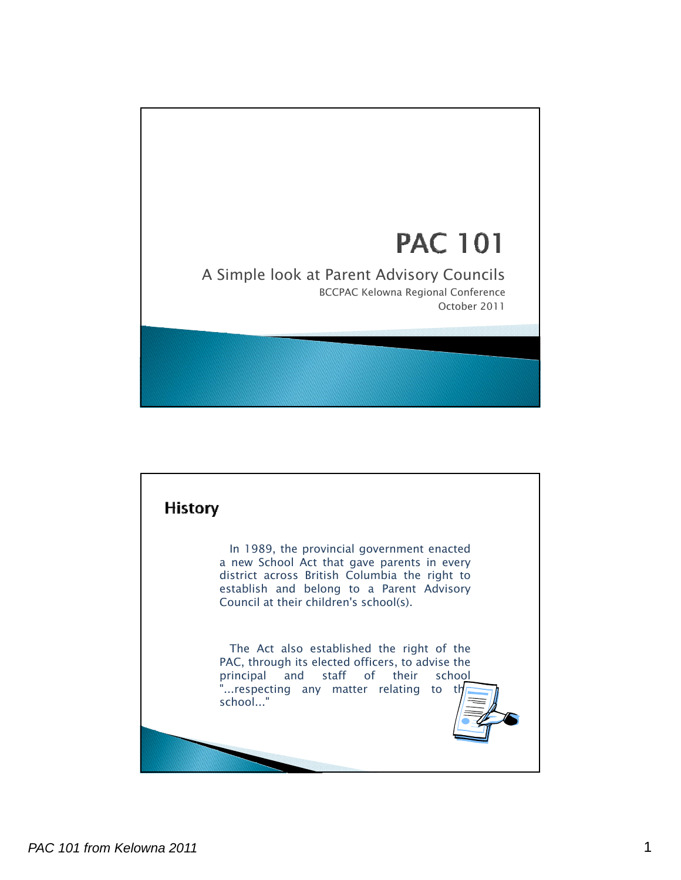

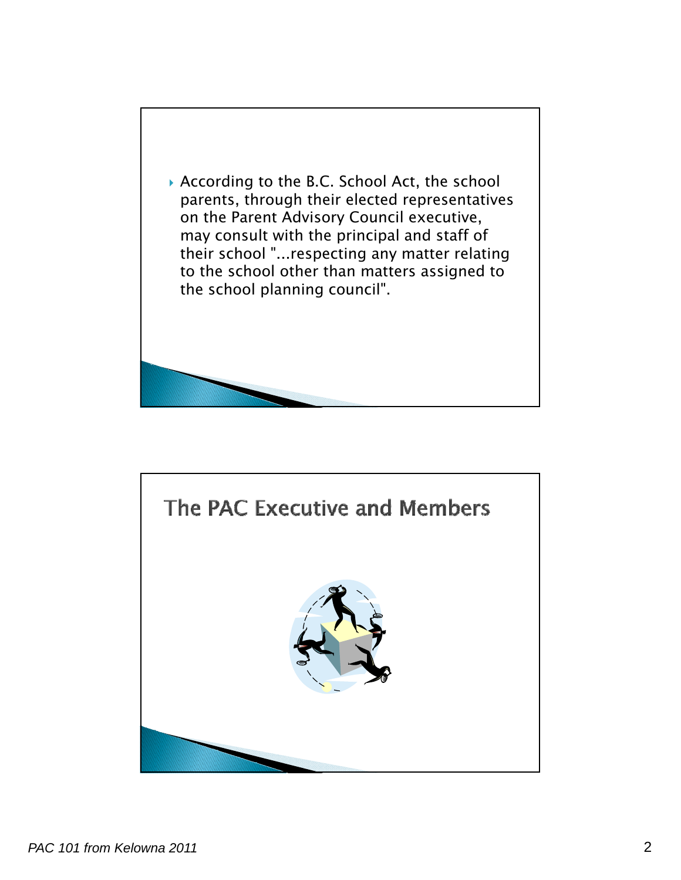

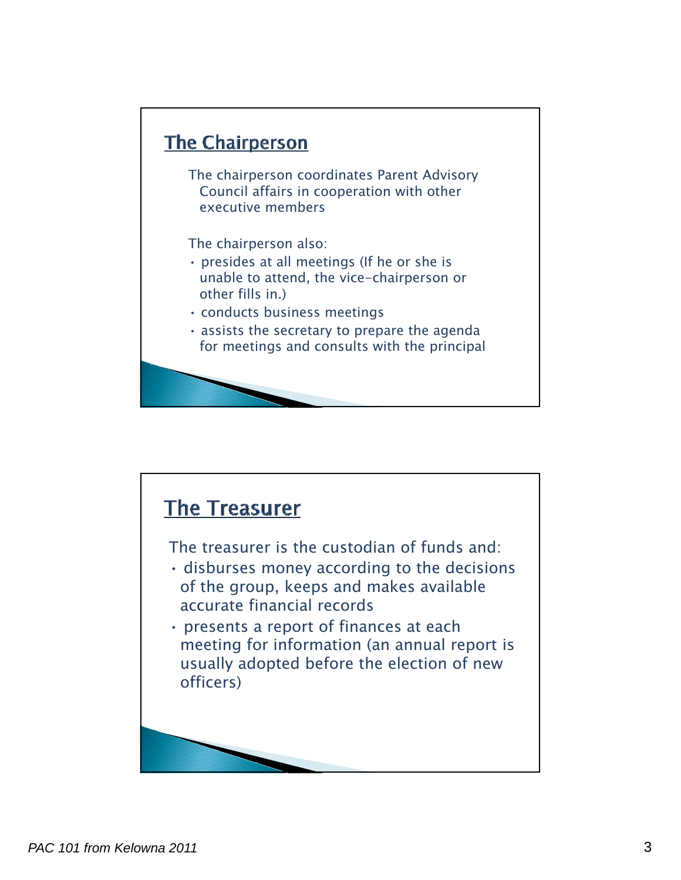

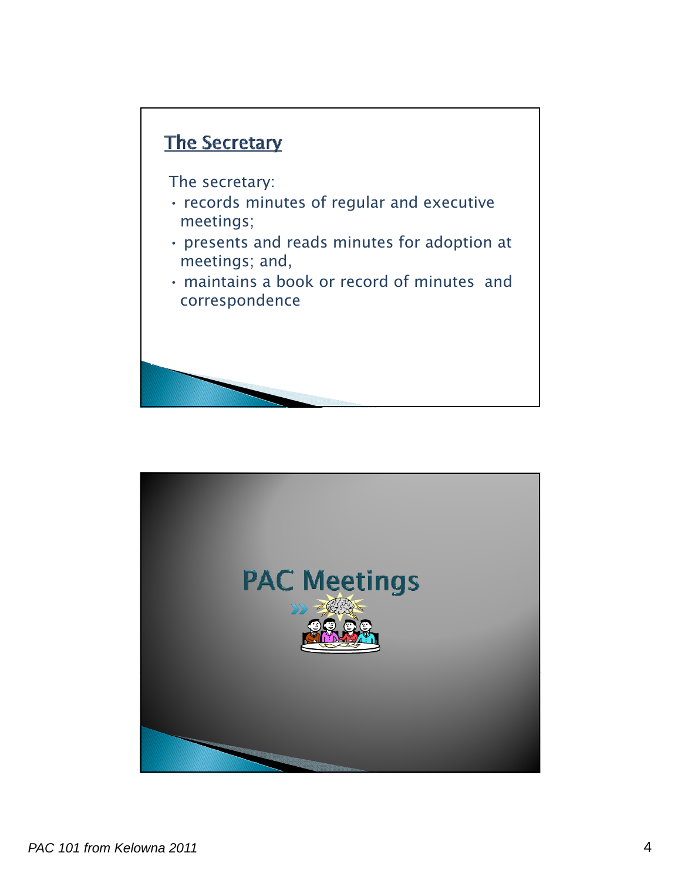## The Secretary

The secretary:

- $\cdot$  records minutes of regular and executive meetings;
- presents and reads minutes for adoption at meetings; and,
- maintains a book or record of minutes and correspondence

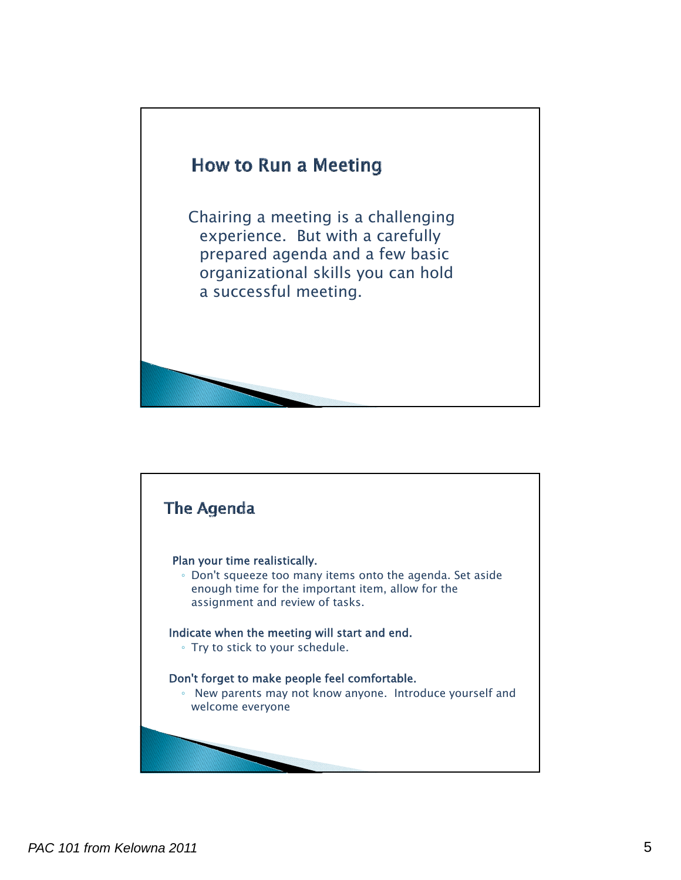

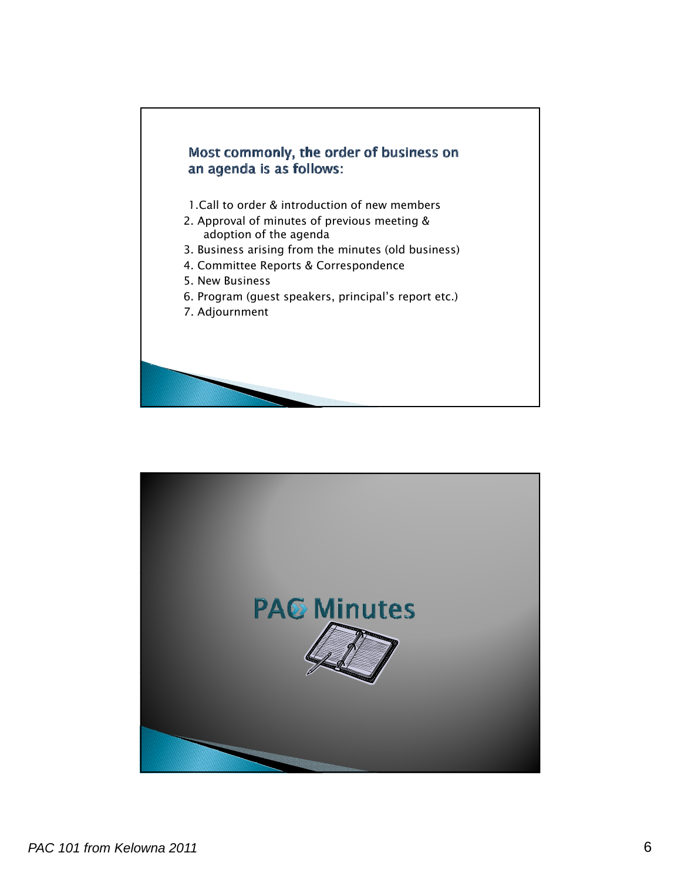

![](_page_5_Picture_1.jpeg)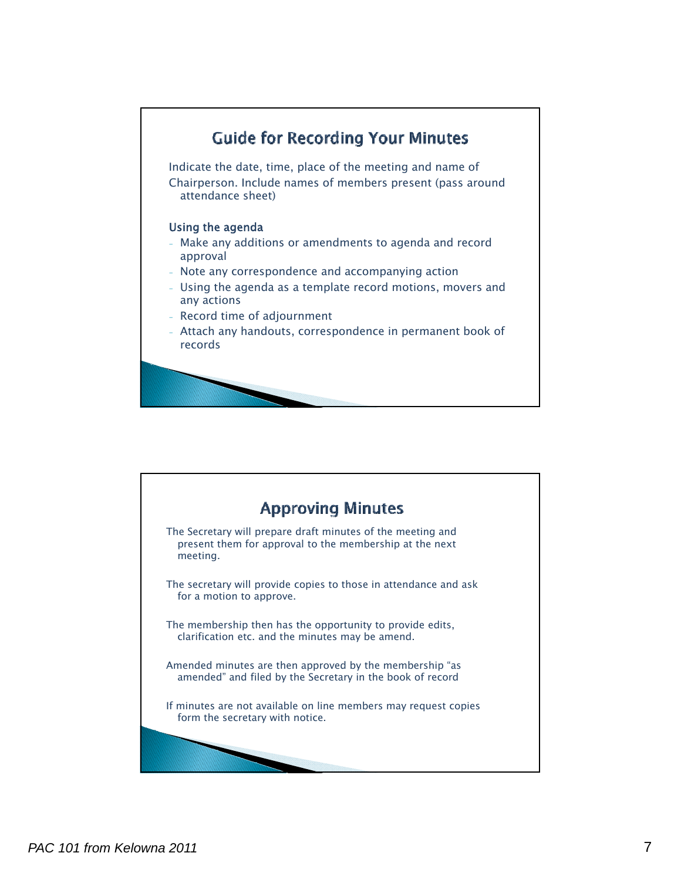![](_page_6_Figure_0.jpeg)

![](_page_6_Picture_1.jpeg)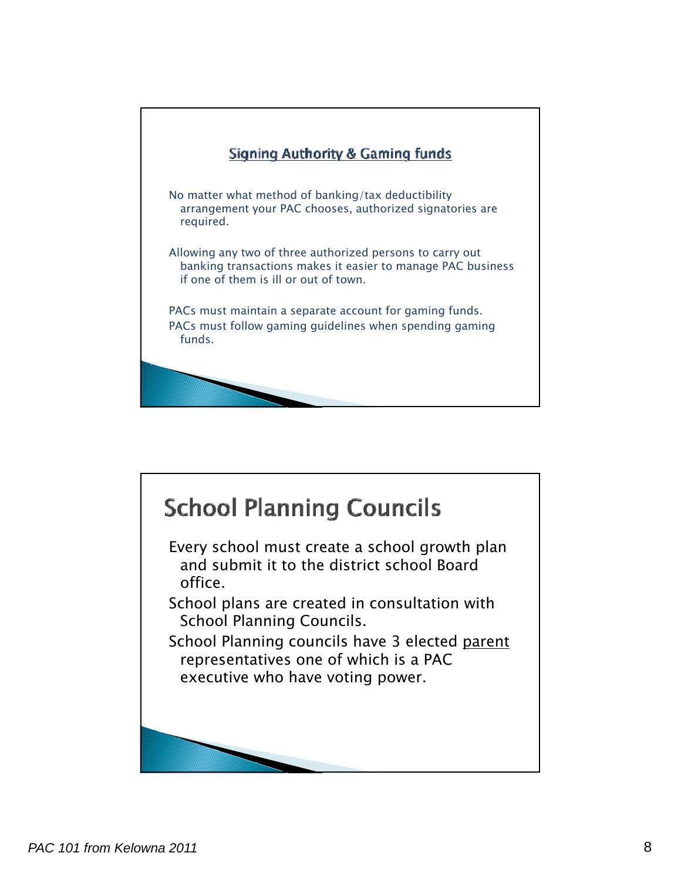![](_page_7_Picture_0.jpeg)

![](_page_7_Picture_1.jpeg)